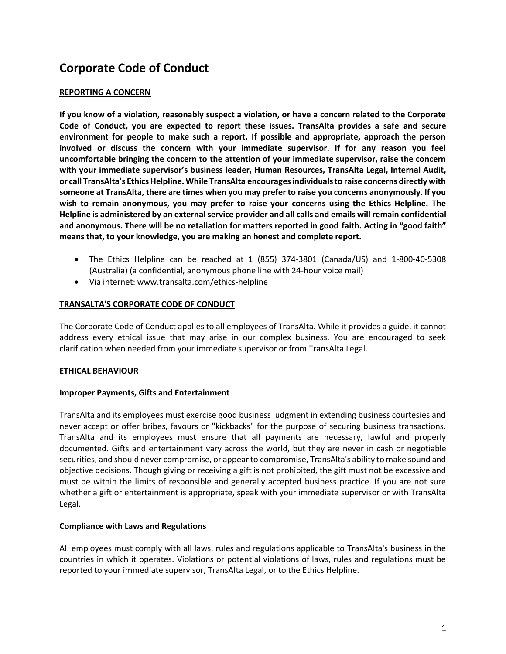# **Corporate Code of Conduct**

## **REPORTING A CONCERN**

**If you know of a violation, reasonably suspect a violation, or have a concern related to the Corporate Code of Conduct, you are expected to report these issues. TransAlta provides a safe and secure environment for people to make such a report. If possible and appropriate, approach the person involved or discuss the concern with your immediate supervisor. If for any reason you feel uncomfortable bringing the concern to the attention of your immediate supervisor, raise the concern with your immediate supervisor's business leader, Human Resources, TransAlta Legal, Internal Audit, or call TransAlta's Ethics Helpline. While TransAlta encourages individuals to raise concerns directly with someone at TransAlta, there are times when you may prefer to raise you concerns anonymously. If you wish to remain anonymous, you may prefer to raise your concerns using the Ethics Helpline. The Helpline is administered by an external service provider and all calls and emails will remain confidential and anonymous. There will be no retaliation for matters reported in good faith. Acting in "good faith" means that, to your knowledge, you are making an honest and complete report.**

- The Ethics Helpline can be reached at  $1$  (855) 374-3801 (Canada/US) and  $1-800-40-5308$ (Australia) (a confidential, anonymous phone line with 24-hour voice mail)
- Via internet: www.transalta.com/ethics-helpline

## **TRANSALTA'S CORPORATE CODE OF CONDUCT**

The Corporate Code of Conduct applies to all employees of TransAlta. While it provides a guide, it cannot address every ethical issue that may arise in our complex business. You are encouraged to seek clarification when needed from your immediate supervisor or from TransAlta Legal.

## **ETHICAL BEHAVIOUR**

## **Improper Payments, Gifts and Entertainment**

TransAlta and its employees must exercise good business judgment in extending business courtesies and never accept or offer bribes, favours or "kickbacks" for the purpose of securing business transactions. TransAlta and its employees must ensure that all payments are necessary, lawful and properly documented. Gifts and entertainment vary across the world, but they are never in cash or negotiable securities, and should never compromise, or appear to compromise, TransAlta's ability to make sound and objective decisions. Though giving or receiving a gift is not prohibited, the gift must not be excessive and must be within the limits of responsible and generally accepted business practice. If you are not sure whether a gift or entertainment is appropriate, speak with your immediate supervisor or with TransAlta Legal.

## **Compliance with Laws and Regulations**

All employees must comply with all laws, rules and regulations applicable to TransAlta's business in the countries in which it operates. Violations or potential violations of laws, rules and regulations must be reported to your immediate supervisor, TransAlta Legal, or to the Ethics Helpline.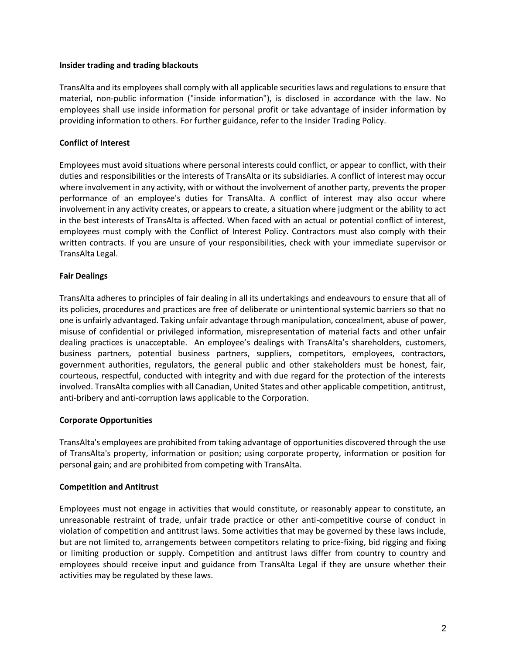## **Insider trading and trading blackouts**

TransAlta and its employees shall comply with all applicable securities laws and regulations to ensure that material, non-public information ("inside information"), is disclosed in accordance with the law. No employees shall use inside information for personal profit or take advantage of insider information by providing information to others. For further guidance, refer to the Insider Trading Policy.

# **Conflict of Interest**

Employees must avoid situations where personal interests could conflict, or appear to conflict, with their duties and responsibilities or the interests of TransAlta or its subsidiaries. A conflict of interest may occur where involvement in any activity, with or without the involvement of another party, prevents the proper performance of an employee's duties for TransAlta. A conflict of interest may also occur where involvement in any activity creates, or appears to create, a situation where judgment or the ability to act in the best interests of TransAlta is affected. When faced with an actual or potential conflict of interest, employees must comply with the Conflict of Interest Policy. Contractors must also comply with their written contracts. If you are unsure of your responsibilities, check with your immediate supervisor or TransAlta Legal.

## **Fair Dealings**

TransAlta adheres to principles of fair dealing in all its undertakings and endeavours to ensure that all of its policies, procedures and practices are free of deliberate or unintentional systemic barriers so that no one is unfairly advantaged. Taking unfair advantage through manipulation, concealment, abuse of power, misuse of confidential or privileged information, misrepresentation of material facts and other unfair dealing practices is unacceptable. An employee's dealings with TransAlta's shareholders, customers, business partners, potential business partners, suppliers, competitors, employees, contractors, government authorities, regulators, the general public and other stakeholders must be honest, fair, courteous, respectful, conducted with integrity and with due regard for the protection of the interests involved. TransAlta complies with all Canadian, United States and other applicable competition, antitrust, anti-bribery and anti-corruption laws applicable to the Corporation.

## **Corporate Opportunities**

TransAlta's employees are prohibited from taking advantage of opportunities discovered through the use of TransAlta's property, information or position; using corporate property, information or position for personal gain; and are prohibited from competing with TransAlta.

## **Competition and Antitrust**

Employees must not engage in activities that would constitute, or reasonably appear to constitute, an unreasonable restraint of trade, unfair trade practice or other anti-competitive course of conduct in violation of competition and antitrust laws. Some activities that may be governed by these laws include, but are not limited to, arrangements between competitors relating to price-fixing, bid rigging and fixing or limiting production or supply. Competition and antitrust laws differ from country to country and employees should receive input and guidance from TransAlta Legal if they are unsure whether their activities may be regulated by these laws.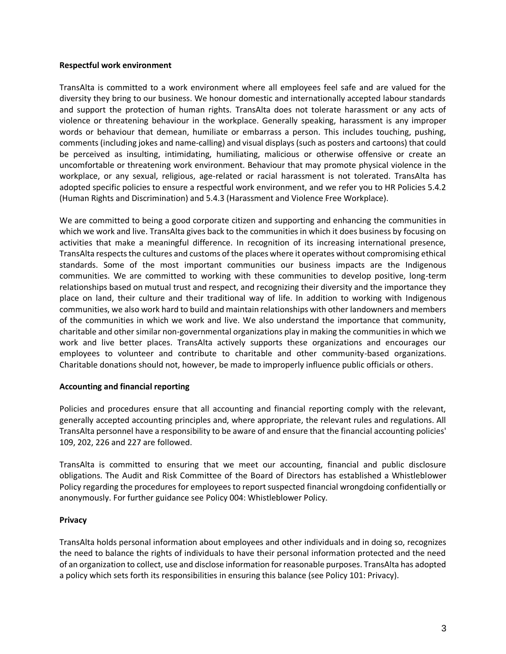## **Respectful work environment**

TransAlta is committed to a work environment where all employees feel safe and are valued for the diversity they bring to our business. We honour domestic and internationally accepted labour standards and support the protection of human rights. TransAlta does not tolerate harassment or any acts of violence or threatening behaviour in the workplace. Generally speaking, harassment is any improper words or behaviour that demean, humiliate or embarrass a person. This includes touching, pushing, comments (including jokes and name-calling) and visual displays (such as posters and cartoons) that could be perceived as insulting, intimidating, humiliating, malicious or otherwise offensive or create an uncomfortable or threatening work environment. Behaviour that may promote physical violence in the workplace, or any sexual, religious, age-related or racial harassment is not tolerated. TransAlta has adopted specific policies to ensure a respectful work environment, and we refer you to HR Policies 5.4.2 (Human Rights and Discrimination) and 5.4.3 (Harassment and Violence Free Workplace).

We are committed to being a good corporate citizen and supporting and enhancing the communities in which we work and live. TransAlta gives back to the communities in which it does business by focusing on activities that make a meaningful difference. In recognition of its increasing international presence, TransAlta respects the cultures and customs of the places where it operates without compromising ethical standards. Some of the most important communities our business impacts are the Indigenous communities. We are committed to working with these communities to develop positive, long-term relationships based on mutual trust and respect, and recognizing their diversity and the importance they place on land, their culture and their traditional way of life. In addition to working with Indigenous communities, we also work hard to build and maintain relationships with other landowners and members of the communities in which we work and live. We also understand the importance that community, charitable and other similar non-governmental organizations play in making the communities in which we work and live better places. TransAlta actively supports these organizations and encourages our employees to volunteer and contribute to charitable and other community-based organizations. Charitable donations should not, however, be made to improperly influence public officials or others.

## **Accounting and financial reporting**

Policies and procedures ensure that all accounting and financial reporting comply with the relevant, generally accepted accounting principles and, where appropriate, the relevant rules and regulations. All TransAlta personnel have a responsibility to be aware of and ensure that the financial accounting policies' 109, 202, 226 and 227 are followed.

TransAlta is committed to ensuring that we meet our accounting, financial and public disclosure obligations. The Audit and Risk Committee of the Board of Directors has established a Whistleblower Policy regarding the procedures for employees to report suspected financial wrongdoing confidentially or anonymously. For further guidance see Policy 004: Whistleblower Policy.

## **Privacy**

TransAlta holds personal information about employees and other individuals and in doing so, recognizes the need to balance the rights of individuals to have their personal information protected and the need of an organization to collect, use and disclose information for reasonable purposes. TransAlta has adopted a policy which sets forth its responsibilities in ensuring this balance (see Policy 101: Privacy).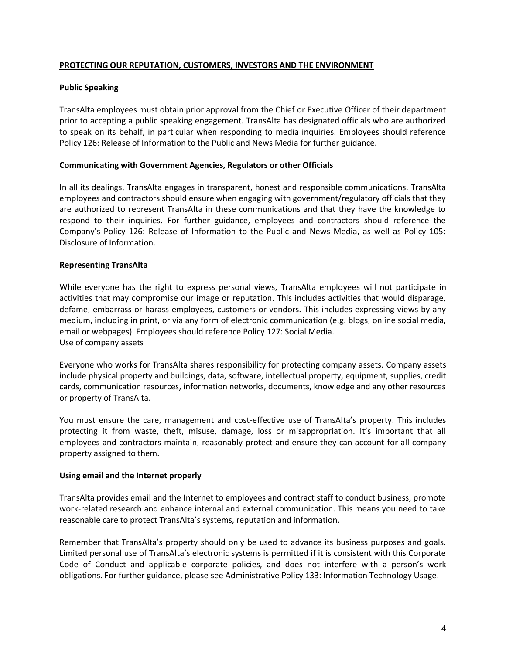# **PROTECTING OUR REPUTATION, CUSTOMERS, INVESTORS AND THE ENVIRONMENT**

## **Public Speaking**

TransAlta employees must obtain prior approval from the Chief or Executive Officer of their department prior to accepting a public speaking engagement. TransAlta has designated officials who are authorized to speak on its behalf, in particular when responding to media inquiries. Employees should reference Policy 126: Release of Information to the Public and News Media for further guidance.

## **Communicating with Government Agencies, Regulators or other Officials**

In all its dealings, TransAlta engages in transparent, honest and responsible communications. TransAlta employees and contractors should ensure when engaging with government/regulatory officials that they are authorized to represent TransAlta in these communications and that they have the knowledge to respond to their inquiries. For further guidance, employees and contractors should reference the Company's Policy 126: Release of Information to the Public and News Media, as well as Policy 105: Disclosure of Information.

## **Representing TransAlta**

While everyone has the right to express personal views, TransAlta employees will not participate in activities that may compromise our image or reputation. This includes activities that would disparage, defame, embarrass or harass employees, customers or vendors. This includes expressing views by any medium, including in print, or via any form of electronic communication (e.g. blogs, online social media, email or webpages). Employees should reference Policy 127: Social Media. Use of company assets

Everyone who works for TransAlta shares responsibility for protecting company assets. Company assets include physical property and buildings, data, software, intellectual property, equipment, supplies, credit cards, communication resources, information networks, documents, knowledge and any other resources or property of TransAlta.

You must ensure the care, management and cost-effective use of TransAlta's property. This includes protecting it from waste, theft, misuse, damage, loss or misappropriation. It's important that all employees and contractors maintain, reasonably protect and ensure they can account for all company property assigned to them.

## **Using email and the Internet properly**

TransAlta provides email and the Internet to employees and contract staff to conduct business, promote work-related research and enhance internal and external communication. This means you need to take reasonable care to protect TransAlta's systems, reputation and information.

Remember that TransAlta's property should only be used to advance its business purposes and goals. Limited personal use of TransAlta's electronic systems is permitted if it is consistent with this Corporate Code of Conduct and applicable corporate policies, and does not interfere with a person's work obligations. For further guidance, please see Administrative Policy 133: Information Technology Usage.